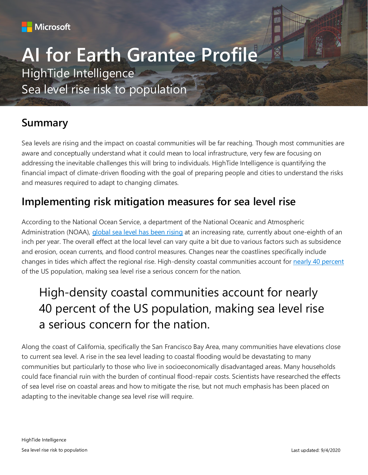

# **AI for Earth Grantee Profile** HighTide Intelligence

Sea level rise risk to population

### **Summary**

Sea levels are rising and the impact on coastal communities will be far reaching. Though most communities are aware and conceptually understand what it could mean to local infrastructure, very few are focusing on addressing the inevitable challenges this will bring to individuals. HighTide Intelligence is quantifying the financial impact of climate-driven flooding with the goal of preparing people and cities to understand the risks and measures required to adapt to changing climates.

### **Implementing risk mitigation measures for sea level rise**

According to the National Ocean Service, a department of the National Oceanic and Atmospheric Administration (NOAA), [global sea level has been rising](https://oceanservice.noaa.gov/facts/sealevel.html) at an increasing rate, currently about one-eighth of an inch per year. The overall effect at the local level can vary quite a bit due to various factors such as subsidence and erosion, ocean currents, and flood control measures. Changes near the coastlines specifically include changes in tides which affect the regional rise. High-density coastal communities account for [nearly 40 percent](https://oceanservice.noaa.gov/facts/population.html) of the US population, making sea level rise a serious concern for the nation.

# High-density coastal communities account for nearly 40 percent of the US population, making sea level rise a serious concern for the nation.

Along the coast of California, specifically the San Francisco Bay Area, many communities have elevations close to current sea level. A rise in the sea level leading to coastal flooding would be devastating to many communities but particularly to those who live in socioeconomically disadvantaged areas. Many households could face financial ruin with the burden of continual flood-repair costs. Scientists have researched the effects of sea level rise on coastal areas and how to mitigate the rise, but not much emphasis has been placed on adapting to the inevitable change sea level rise will require.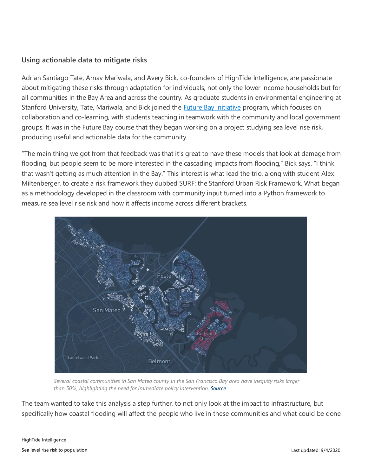#### **Using actionable data to mitigate risks**

Adrian Santiago Tate, Arnav Mariwala, and Avery Bick, co-founders of HighTide Intelligence, are passionate about mitigating these risks through adaptation for individuals, not only the lower income households but for all communities in the Bay Area and across the country. As graduate students in environmental engineering at Stanford University, Tate, Mariwala, and Bick joined the **Future Bay Initiative program**, which focuses on collaboration and co-learning, with students teaching in teamwork with the community and local government groups. It was in the Future Bay course that they began working on a project studying sea level rise risk, producing useful and actionable data for the community.

"The main thing we got from that feedback was that it's great to have these models that look at damage from flooding, but people seem to be more interested in the cascading impacts from flooding," Bick says. "I think that wasn't getting as much attention in the Bay." This interest is what lead the trio, along with student Alex Miltenberger, to create a risk framework they dubbed SURF: the Stanford Urban Risk Framework. What began as a methodology developed in the classroom with community input turned into a Python framework to measure sea level rise risk and how it affects income across different brackets.



*Several coastal communities in San Mateo county in the San Francisco Bay area have inequity risks larger than 50%, highlighting the need for immediate policy intervention[. Source](https://www.researchgate.net/publication/339198970_Rising_seas_rising_inequity_Communities_at_risk_in_the_San_Francisco_Bay_Area_and_implications_for_adaptation_policy)*

The team wanted to take this analysis a step further, to not only look at the impact to infrastructure, but specifically how coastal flooding will affect the people who live in these communities and what could be done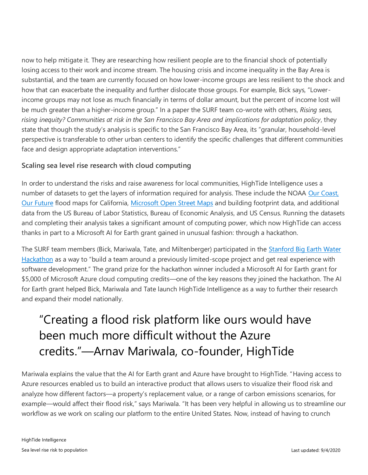now to help mitigate it. They are researching how resilient people are to the financial shock of potentially losing access to their work and income stream. The housing crisis and income inequality in the Bay Area is substantial, and the team are currently focused on how lower-income groups are less resilient to the shock and how that can exacerbate the inequality and further dislocate those groups. For example, Bick says, "Lowerincome groups may not lose as much financially in terms of dollar amount, but the percent of income lost will be much greater than a higher-income group." In a paper the SURF team co-wrote with others, *Rising seas, rising inequity? Communities at risk in the San Francisco Bay Area and implications for adaptation policy*, they state that though the study's analysis is specific to the San Francisco Bay Area, its "granular, household-level perspective is transferable to other urban centers to identify the specific challenges that different communities face and design appropriate adaptation interventions."

#### **Scaling sea level rise research with cloud computing**

In order to understand the risks and raise awareness for local communities, HighTide Intelligence uses a number of datasets to get the layers of information required for analysis. These include the NOAA Our Coast, [Our Future](https://coast.noaa.gov/digitalcoast/tools/ocof.html) flood maps for California, [Microsoft Open Street Maps](https://www.microsoft.com/en-us/p/simple-osm/9nblggh08vvk?activetab=pivot:overviewtab) and building footprint data, and additional data from the US Bureau of Labor Statistics, Bureau of Economic Analysis, and US Census. Running the datasets and completing their analysis takes a significant amount of computing power, which now HighTide can access thanks in part to a Microsoft AI for Earth grant gained in unusual fashion: through a hackathon.

The SURF team members (Bick, Mariwala, Tate, and Miltenberger) participated in the [Stanford Big Earth Water](https://earth.stanford.edu/news/big-earth-water-hackathon-drives-solutions-hydropower-sanitation#gs.x0mxgs)  [Hackathon](https://earth.stanford.edu/news/big-earth-water-hackathon-drives-solutions-hydropower-sanitation#gs.x0mxgs) as a way to "build a team around a previously limited-scope project and get real experience with software development." The grand prize for the hackathon winner included a Microsoft AI for Earth grant for \$5,000 of Microsoft Azure cloud computing credits—one of the key reasons they joined the hackathon. The AI for Earth grant helped Bick, Mariwala and Tate launch HighTide Intelligence as a way to further their research and expand their model nationally.

## "Creating a flood risk platform like ours would have been much more difficult without the Azure credits."—Arnav Mariwala, co-founder, HighTide

Mariwala explains the value that the AI for Earth grant and Azure have brought to HighTide. "Having access to Azure resources enabled us to build an interactive product that allows users to visualize their flood risk and analyze how different factors—a property's replacement value, or a range of carbon emissions scenarios, for example—would affect their flood risk," says Mariwala. "It has been very helpful in allowing us to streamline our workflow as we work on scaling our platform to the entire United States. Now, instead of having to crunch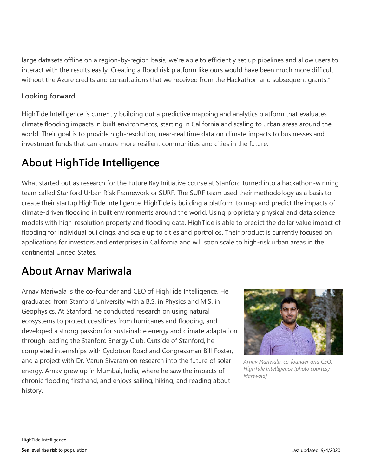large datasets offline on a region-by-region basis, we're able to efficiently set up pipelines and allow users to interact with the results easily. Creating a flood risk platform like ours would have been much more difficult without the Azure credits and consultations that we received from the Hackathon and subsequent grants."

#### **Looking forward**

HighTide Intelligence is currently building out a predictive mapping and analytics platform that evaluates climate flooding impacts in built environments, starting in California and scaling to urban areas around the world. Their goal is to provide high-resolution, near-real time data on climate impacts to businesses and investment funds that can ensure more resilient communities and cities in the future.

### **About HighTide Intelligence**

What started out as research for the Future Bay Initiative course at Stanford turned into a hackathon-winning team called Stanford Urban Risk Framework or SURF. The SURF team used their methodology as a basis to create their startup HighTide Intelligence. HighTide is building a platform to map and predict the impacts of climate-driven flooding in built environments around the world. Using proprietary physical and data science models with high-resolution property and flooding data, HighTide is able to predict the dollar value impact of flooding for individual buildings, and scale up to cities and portfolios. Their product is currently focused on applications for investors and enterprises in California and will soon scale to high-risk urban areas in the continental United States.

### **About Arnav Mariwala**

Arnav Mariwala is the co-founder and CEO of HighTide Intelligence. He graduated from Stanford University with a B.S. in Physics and M.S. in Geophysics. At Stanford, he conducted research on using natural ecosystems to protect coastlines from hurricanes and flooding, and developed a strong passion for sustainable energy and climate adaptation through leading the Stanford Energy Club. Outside of Stanford, he completed internships with Cyclotron Road and Congressman Bill Foster, and a project with Dr. Varun Sivaram on research into the future of solar energy. Arnav grew up in Mumbai, India, where he saw the impacts of chronic flooding firsthand, and enjoys sailing, hiking, and reading about history.



*Arnav Mariwala, co-founder and CEO, HighTide Intelligence [photo courtesy Mariwala]*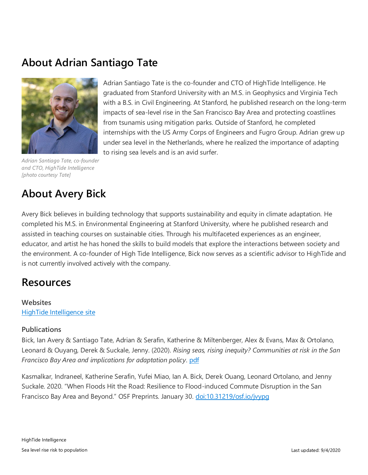### **About Adrian Santiago Tate**



*Adrian Santiago Tate, co-founder and CTO, HighTide Intelligence [photo courtesy Tate]* 

### **About Avery Bick**

Avery Bick believes in building technology that supports sustainability and equity in climate adaptation. He completed his M.S. in Environmental Engineering at Stanford University, where he published research and assisted in teaching courses on sustainable cities. Through his multifaceted experiences as an engineer, educator, and artist he has honed the skills to build models that explore the interactions between society and the environment. A co-founder of High Tide Intelligence, Bick now serves as a scientific advisor to HighTide and is not currently involved actively with the company.

to rising sea levels and is an avid surfer.

Adrian Santiago Tate is the co-founder and CTO of HighTide Intelligence. He graduated from Stanford University with an M.S. in Geophysics and Virginia Tech with a B.S. in Civil Engineering. At Stanford, he published research on the long-term impacts of sea-level rise in the San Francisco Bay Area and protecting coastlines

from tsunamis using mitigation parks. Outside of Stanford, he completed

internships with the US Army Corps of Engineers and Fugro Group. Adrian grew up under sea level in the Netherlands, where he realized the importance of adapting

### **Resources**

#### **Websites** [HighTide Intelligence site](https://hightide.ai/)

#### **Publications**

Bick, Ian Avery & Santiago Tate, Adrian & Serafin, Katherine & Miltenberger, Alex & Evans, Max & Ortolano, Leonard & Ouyang, Derek & Suckale, Jenny. (2020). *Rising seas, rising inequity? Communities at risk in the San Francisco Bay Area and implications for adaptation policy*. [pdf](https://www.researchgate.net/publication/339198970_Rising_seas_rising_inequity_Communities_at_risk_in_the_San_Francisco_Bay_Area_and_implications_for_adaptation_policy)

Kasmalkar, Indraneel, Katherine Serafin, Yufei Miao, Ian A. Bick, Derek Ouang, Leonard Ortolano, and Jenny Suckale. 2020. "When Floods Hit the Road: Resilience to Flood-induced Commute Disruption in the San Francisco Bay Area and Beyond." OSF Preprints. January 30. [doi:10.31219/osf.io/jvypg](https://osf.io/jvypg/)